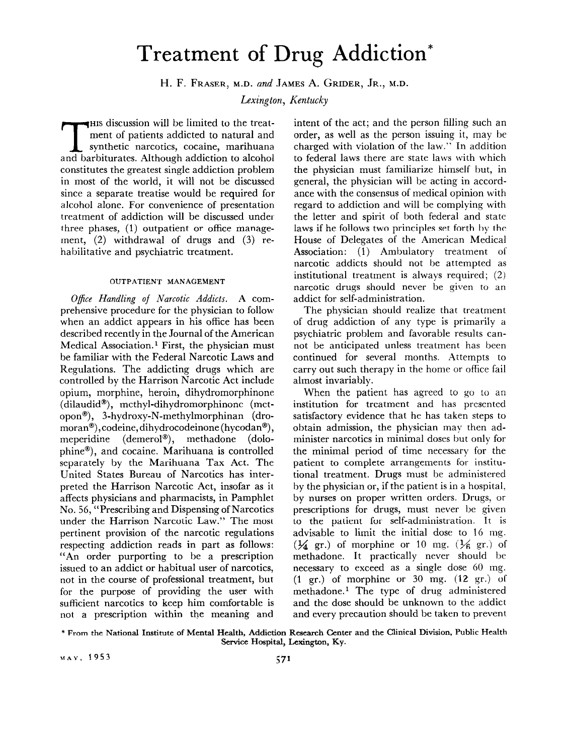# Treatment of Drug Addiction\*

H. F. FRASER, M.D. *and* JAMES A. GRIDER, JR., M.D.

*Lexington, Kentucky* 

THIS discussion will be limited to the treat<br>ment of patients addicted to natural and<br>synthetic narcotics, cocaine, marihuanand barbiturates. Although addiction to alcoho ment of patients addicted to natural and synthetic narcotics, cocaine, marihuana and barbiturates. Although addiction to alcohol constitutes the greatest single addiction problem in most of the world, it will not be discussed since a separate treatise would be required for alcohol alone. For convenience of presentation treatment of addiction will be discussed underthree phases, (1) outpatient or office management, (2) withdrawal of drugs and (3) rehabilitative and psychiatric treatment.

#### **OUTPATIENT MANAGEMENT**

*Ofice Handling of Narcotic Addicts.* A comprehensive procedure for the physician to follow when an addict appears in his office has been described recently in the Journal of the American Medical Association.<sup>1</sup> First, the physician must be familiar with the Federal Narcotic Laws and Regulations. The addicting drugs which are controlled by the Harrison Narcotic Act include opium, morphine, heroin, dihydromorphinone (dilaudid@), methyl-dihydromorphinone (metopen@), 3-hydroxy-N-methylmorphinan (dromoran@),codeine, dihydrocodeinone (hycodan@), meperidine (demerol@), methadone (dolophine@), and cocaine. Marihuana is controlled separately by the Marihuana Tax Act. The United States Bureau of Narcotics has interpreted the Harrison Narcotic Act, insofar as it affects physicians and pharmacists, in Pamphlet No. 56, "Prescribing and Dispensing of Narcotics under the Harrison Narcotic Law." The most pertinent provision of the narcotic regulations respecting addiction reads in part as follows: "An order purporting to be a prescription issued to an addict or habitual user of narcotics, **not** in the course of professional treatment, but for the purpose of providing the user with sufficient narcotics to keep him comfortable is not a prescription within the meaning and

intent of the act; and the person filling such an order, as well as the person issuing it, may be charged with violation of the law." In addition to federal laws there are state laws with which the physician must familiarize himself but, in general, the physician will be acting in accordance with the consensus of medical opinion with regard to addiction and will be complying with the letter and spirit of both federal and state laws if he follows two principles set forth by the House of Delegates of the American Medical Association: (1) Ambulatory treatment of narcotic addicts should not be attempted as institutional treatment is always required; (2) narcotic drugs should never be given to an addict for self-administration.

The physician should realize that treatment of drug addiction of any type is primarily a psychiatric problem and favorable results cannot be anticipated unless treatment has been continued for several months. Attempts to carry out such therapy in the home or office fail almost invariably.

When the patient has agreed to go to an institution for treatment and has presented satisfactory evidence that he has taken steps to obtain admission, the physician may then administer narcotics in minimal doses but only for the minimal period of time necessary for the patient to complete arrangements for institutional treatment. Drugs must be administered by the physician or, if the patient is in a hospital, by nurses on proper written orders. Drugs, or prescriptions for drugs, must never be given to the patient for self-administration. It is advisable to limit the initial dose to 16 mg. **methadone. It practically never should** be  $(\frac{1}{4}$  gr.) of morphine or 10 mg.  $(\frac{1}{6}$  gr.) of necessary to exceed as a single dose 60 mg. (1 gr.) of morphine or 30 mg. (12 gr.) of methadone.' The type of drug administered and the dose should be unknown to the addict and every precaution should be taken to prevent

**<sup>\*</sup> From the National Institute of Mental Health, Addiction Research Center and the Clinical Division, Public Health Service Hospital, Lexington, Ky.**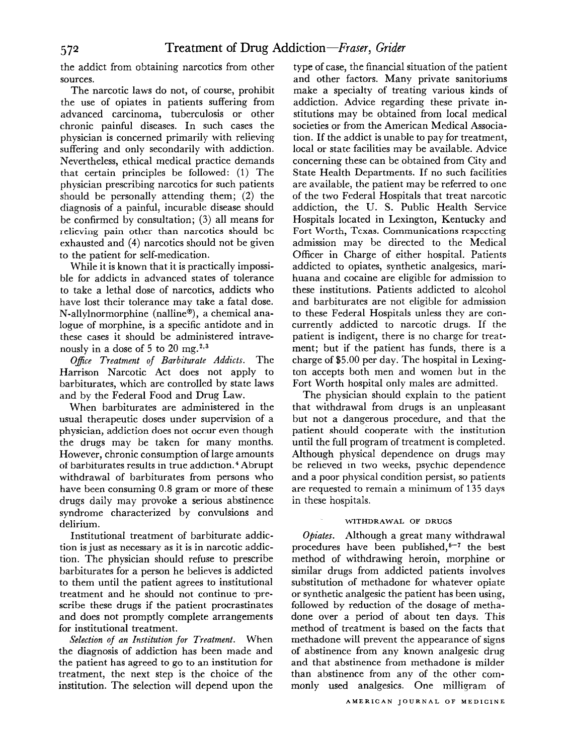the addict from obtaining narcotics from other sources.

The narcotic laws do not, of course, prohibit the use of opiates in patients suffering from advanced carcinoma, tuberculosis or other chronic painful diseases. In such cases the physician is concerned primarily with relieving suffering and only secondarily with addiction. Nevertheless, ethical medical practice demands that certain principles be followed: (1) The physician prescribing narcotics for such patients should be personally attending them;  $(2)$  the diagnosis of a painful, incurable disease should be confirmed by consultation; (3) all means for relieving pain other than narcotics should be exhausted and (4) narcotics should not be given to the patient for self-medication.

While it is known that it is practically impossible for addicts in advanced states of tolerance to take a lethal dose of narcotics, addicts who have lost their tolerance may take a fatal dose. N-allylnormorphine (nalline@), a chemical analogue of morphine, is a specific antidote and in these cases it should be administered intravenously in a dose of 5 to 20 mg.<sup>2,3</sup>

O&e *Treatment of Barbiturate Addicts.* The Harrison Narcotic Act does not apply to barbiturates, which are controlled by state laws and by the Federal Food and Drug Law.

When barbiturates are administered in the usual therapeutic doses under supervision of a physician, addiction does not occur even though the drugs may be taken for many months. However, chronic consumption of large amounts of barbiturates results in true addiction. 4 Abrupt withdrawal of barbiturates from persons who have been consuming 0.8 gram or more of these drugs daily may provoke a serious abstinence syndrome characterized by convulsions and delirium.

Institutional treatment of barbiturate addiction is just as necessary as it is in narcotic addiction. The physician should refuse to prescribe barbiturates for a person he believes is addicted to them until the patient agrees to institutional treatment and he should not continue to prescribe these drugs if the patient procrastinates and does not promptly complete arrangements for institutional treatment.

Selection of an Institution for Treatment. When the diagnosis of addiction has been made and the patient has agreed to go to an institution for treatment, the next step is the choice of the institution. The selection will depend upon the

type of case, the financial situation of the patient and other factors. Many private sanitoriums make a specialty of treating various kinds of addiction. Advice regarding these private institutions may be obtained from local medical societies or from the American Medical Association. If the addict is unable to pay for treatment, local or state facilities may be available. Advice concerning these can be obtained from City and State Health Departments. If no such facilities are available, the patient may be referred to one of the two Federal Hospitals that treat narcotic addiction, the U. S. Public Health Service Hospitals located in Lexington, Kentucky and Fort Worth, Texas. Communications respecting admission may be directed to the Medical Officer in Charge of either hospital. Patients addicted to opiates, synthetic analgesics, marihuana and cocaine are eligible for admission to these institutions. Patients addicted to alcohol and barbiturates are not eligible for admission to these Federal Hospitals unless they are concurrently addicted to narcotic drugs. If the patient is indigent, there is no charge for treatment; but if the patient has funds, there is a charge of \$5.00 per day. The hospital in Lexington accepts both men and women but in the Fort Worth hospital only males are admitted.

The physician should explain to the patient that withdrawal from drugs is an unpleasant but not a dangerous procedure, and that the patient should cooperate with the institution until the full program of treatment is completed. Although physical dependence on drugs may be relieved in two weeks, psychic dependence and a poor physical condition persist, so patients are requested to remain a minimum of 135 days in these hospitals.

## **WlTHDRAWAL OF DRUGS**

*Opiates.* Although a great many withdrawal procedures have been published, $5-7$  the best method of withdrawing heroin, morphine or similar drugs from addicted patients involves substitution of methadone for whatever opiate or synthetic analgesic the patient has been using, followed by reduction of the dosage of methadone over a period of about ten days. This method of treatment is based on the facts that methadone will prevent the appearance of signs of abstinence from any known analgesic drug and that abstinence from methadone is milder than abstinence from any of the other commonly used analgesics. One milligram of

**AMERICAN JOURNAL OF MEDICINE**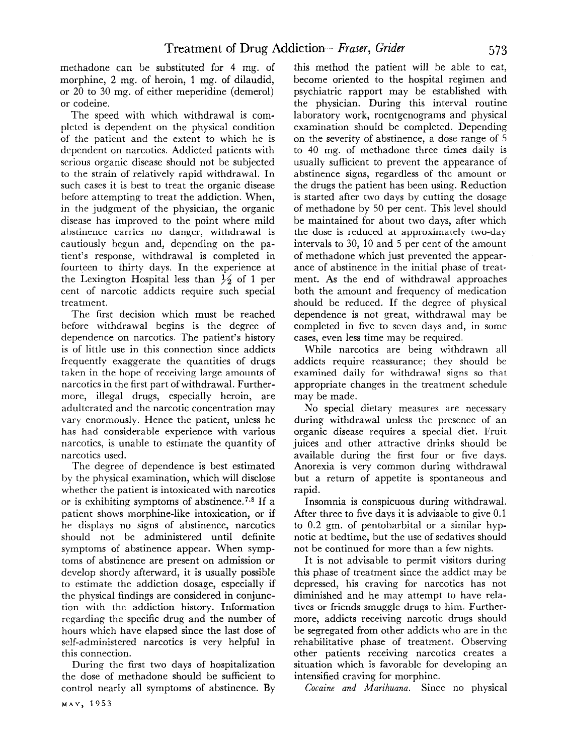methadone can be substituted for 4 mg. of morphine, 2 mg. of heroin, 1 mg. of dilaudid, or 20 to 30 mg. of either meperidine (demerol) or codeine.

The speed with which withdrawal is completed is dependent on the physical condition of the patient and the extent to which he is dependent on narcotics. Addicted patients with serious organic disease should not be subjected to the strain of relatively rapid withdrawal. In such cases it is best to treat the organic disease before attempting to treat the addiction. When, in the judgment of the physician, the organic disease has improved to the point where mild abstinence carries no danger, withdrawal is cautiously begun and, depending on the patient's response, withdrawal is completed in fourteen to thirty days. In the experience at the Lexington Hospital less than  $\frac{1}{2}$  of 1 per cent of narcotic addicts require such special treatment.

The first decision which must be reached before withdrawal begins is the degree of dependence on narcotics. The patient's history is of little use in this connection since addicts frequently exaggerate the quantities of drugs taken in the hope of receiving large amounts of narcotics in the first part of withdrawal. Furthermore, illegal drugs, especially heroin, are adulterated and the narcotic concentration may vary enormously. Hence the patient, unless he has had considerable experience with various narcotics, is unable to estimate the quantity of narcotics used.

The degree of dependence is best estimated by the physical examination, which will disclose whether the patient is intoxicated with narcotics or is exhibiting symptoms of abstinence.<sup>7,8</sup> If a patient shows morphine-like intoxication, or if he displays no signs of abstinence, narcotics should not be administered until definite symptoms of abstinence appear. When symptoms of abstinence are present on admission or develop shortIy afterward, it is usually possible to estimate the addiction dosage, especially if the physical findings are considered in conjunction with the addiction history. Information regarding the specific drug and the number of hours which have elapsed since the last dose of self-administered narcotics is very helpful in this connection.

During the first two days of hospitalization the dose of methadone should be sufficient to control nearly all symptoms of abstinence. By MAY, **1953** 

this method the patient will be able to eat, become oriented to the hospital regimen and psychiatric rapport may be established with the physician. During this interval routine laboratory work, roentgenograms and physical examination should be completed. Depending on the severity of abstinence, a dose range of 5 to 40 mg. of methadone three times daily is usually sufficient to prevent the appearance of abstinence signs, regardless of the amount or the drugs the patient has been using. Reduction is started after two days by cutting the dosage of methadone by 50 per cent. This level should be maintained for about two days, after which the dose is reduced at approximately two-day intervals to 30, 10 and 5 per cent of the amount of methadone which just prevented the appearance of abstinence in the initial phase of treatment. As the end of withdrawal approaches both the amount and frequency of medication should be reduced. If the degree of physical dependence is not great, withdrawal may be completed in five to seven days and, in some cases, even less time may be required.

While narcotics are being withdrawn all addicts require reassurance; they should be examined daily for withdrawal signs so that appropriate changes in the treatment schedule may be made.

No special dietary measures are necessary during withdrawal unless the presence of an organic disease requires a special diet. Fruit juices and other attractive drinks should be available during the first four or five days. Anorexia is very common during withdrawal but a return of appetite is spontaneous and rapid.

Insomnia is conspicuous during withdrawal. After three to five days it is advisable to give 0.1 to 0.2 gm. of pentobarbital or a similar hypnotic at bedtime, but the use of sedatives should not be continued for more than a few nights.

It is not advisable to permit visitors during this phase of treatment since the addict may be depressed, his craving for narcotics has not diminished and he may attempt to have relatives or friends smuggle drugs to him. Furthermore, addicts receiving narcotic drugs should be segregated from other addicts who are in the rehabilitative phase of treatment. Observing other patients receiving narcotics creates a situation which is favorable for developing an intensified craving for morphine.

*Cocaine and Marihuana.* Since no physical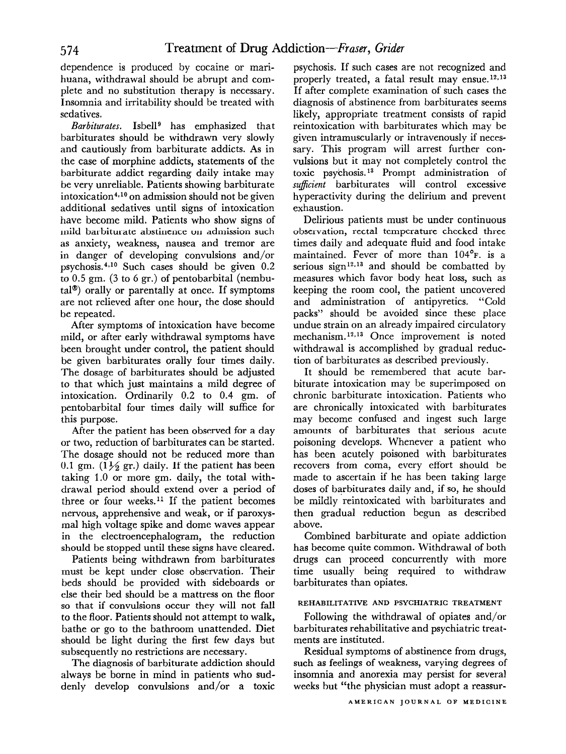dependence is produced by cocaine or marihuana, withdrawal should be abrupt and complete and no substitution therapy is necessary. Insomnia and irritability should be treated with sedatives.

Barbiturates. Isbell<sup>9</sup> has emphasized that barbiturates should be withdrawn very slowly and cautiously from barbiturate addicts. As in the case of morphine addicts, statements of the barbiturate addict regarding daily intake may be very unreliable. Patients showing barbiturate intoxication $4,10$  on admission should not be given additional sedatives until signs of intoxication have become mild. Patients who show signs of mild barbiturate abstinence on admission such as anxiety, weakness, nausea and tremor are in danger of developing convulsions and/or psychosis. $4,10$  Such cases should be given 0.2 to 0.5 gm. (3 to 6 gr.) of pentobarbital (nembu $tal^{\circledR}$  orally or parentally at once. If symptoms are not relieved after one hour, the dose should be repeated.

After symptoms of intoxication have become mild, or after early withdrawal symptoms have been brought under control, the patient should be given barbiturates orally four times daily. The dosage of barbiturates should be adjusted to that which just maintains a mild degree of intoxication. Ordinarily 0.2 to 0.4 gm. of pentobarbital four times daily will suffice for this purpose.

After the patient has been observed for a day or two, reduction of barbiturates can be started. The dosage should not be reduced more than 0.1 gm.  $(1\frac{1}{2})$  gr.) daily. If the patient has been taking 1.0 or more gm. daily, the total withdrawal period should extend over a period of three or four weeks.<sup>11</sup> If the patient becomes nervous, apprehensive and weak, or if paroxysmal high voltage spike and dome waves appear in the electroencephalogram, the reduction should be stopped until these signs have cleared.

Patients being withdrawn from barbiturates must be kept under close observation. Their beds should be provided with sideboards or else their bed should be a mattress on the floor so that if convulsions occur they will not fall to the floor. Patients should not attempt to walk, bathe or go to the bathroom unattended. Diet should be light during the first few days but subsequently no restrictions are necessary.

The diagnosis of barbiturate addiction should always be borne in mind in patients who suddenly develop convulsions and/or a toxic psychosis. If such cases are not recognized and properly treated, a fatal result may ensue.<sup>12,13</sup> If after complete examination of such cases the diagnosis of abstinence from barbiturates seems likely, appropriate treatment consists of rapid reintoxication with barbiturates which may be given intramuscularly or intravenously if necessary. This program will arrest further convulsions but it may not completely control the toxic psychosis.<sup>13</sup> Prompt administration of *suj'kient* barbiturates will control excessive hyperactivity during the delirium and prevent exhaustion.

Delirious patients must be under continuous observation, rectal temperature checked three times daily and adequate fluid and food intake maintained. Fever of more than **104'F.** is a serious sign<sup>12,13</sup> and should be combatted by measures which favor body heat loss, such as keeping the room cool, the patient uncovered and administration of antipyretics. "Cold packs" should be avoided since these place undue strain on an already impaired circulatory mechanism.<sup>12,13</sup> Once improvement is noted withdrawal is accomplished by gradual reduction of barbiturates as described previously.

It should be remembered that acute barbiturate intoxication may be superimposed on chronic barbiturate intoxication. Patients who are chronically intoxicated with barbiturates may become confused and ingest such large amounts of barbiturates that serious acute poisoning develops. Whenever a patient who has been acutely poisoned with barbiturates recovers from coma, every effort should be made to ascertain if he has been taking large doses of barbiturates daily and, if so, he should be mildly reintoxicated with barbiturates and then gradual reduction begun as described above.

Combined barbiturate and opiate addiction has become quite common. Withdrawal of both drugs can proceed concurrently with more time usually being required to withdraw barbiturates than opiates.

## **REHABILITATIVE AND PSYCHIATRIC TREATMENT**

Following the withdrawal of opiates and/or barbiturates rehabilitative and psychiatric treatments are instituted.

Residual symptoms of abstinence from drugs, such as feelings of weakness, varying degrees of insomnia and anorexia may persist for several weeks but "the physician must adopt a reassur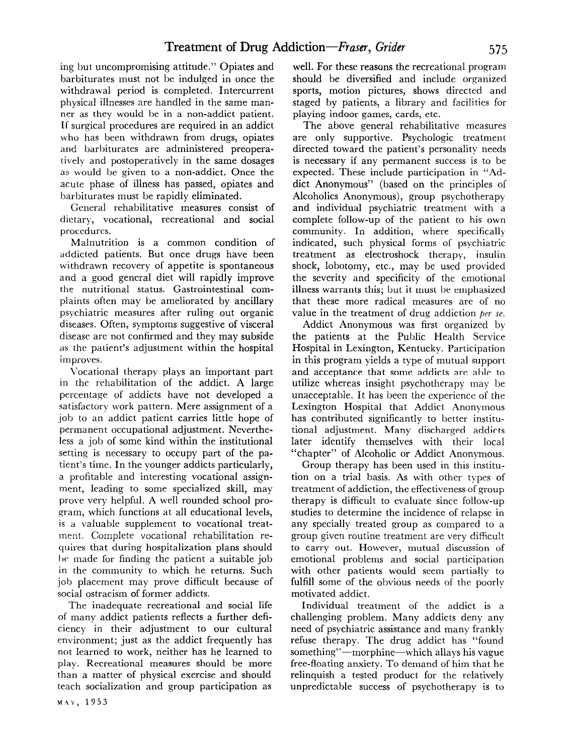ing but uncompromising attitude." Opiates and barbiturates must not be indulged in once the withdrawal period is completed. Intercurrent physical illnesses are handled in the same manner as they would be in a non-addict patient. If surgical procedures are required in an addict who has been withdrawn from drugs, opiates and barbiturates are administered preoperatively and postoperatively in the same dosages as would be given to a non-addict. Once the acute phase of illness has passed, opiates and barbiturates must be rapidly eliminated.

General rehabilitative measures consist of dietary, vocational, recreational and social procedures.

Malnutrition is a common condition of addicted patients. But once drugs have been withdrawn recovery of appetite is spontaneous and a good general diet will rapidly improve the nutritional status. Gastrointestinal complaints often may be ameliorated by ancillary psychiatric measures after ruling out organic diseases. Often, symptoms suggestive of visceral disease are not confirmed and they may subside as the patient's adjustment within the hospital improves.

Vocational therapy- plays an important part in the rehabilitation of the addict. A large percentage of addicts have not developed a satisfactory work pattern. Mere assignment of a job to an addict patient carries little hope of permanent occupational adjustment. Nevertheless a job of some kind within the institutional setting is necessary to occupy part of the patient's time. In the younger addicts particularly, a profitable and interesting vocational assignment, leading to some specialized skill, may prove very helpful. A well rounded school program, which functions at all educational levels, is a valuable supplement to vocational treatment. Complete vocational rehabilitation requires that during hospitalization plans should be made for finding the patient a suitable job in the community to which he returns. Such job placement may prove difficult because of social ostracism of former addicts.

The inadequate recreational and social life of many addict patients reflects a further deficiency in their adjustment to our cultural environment; just as the addict frequently has not learned to work, neither has he learned to play. Recreational measures should be more than a matter of physical exercise and should teach socialization and group participation as

well. For these reasons the recreational program should be diversified and include organized sports, motion pictures, shows directed and staged by patients, a library and facilities for playing indoor games, cards, etc.

The above general rehabilitative measures are only supportive. Psychologic treatment directed toward the patient's personality needs is necessary if any permanent success is to be expected. These include participation in "Addict Anonymous" (based on the principles of Alcoholics Anonymous), group psychotherapy and individual psychiatric treatment with a complete follow-up of the patient to his own community. In addition, where specifically indicated, such physical forms of psychiatric treatment as electroshock therapy, insulin shock, lobotomy, etc., may be used provided the severity and specificity of the emotional illness warrants this; but it must be emphasized that these more radical measures are of no value in the treatment of drug addiction per se.

Addict Anonymous was first organized by the patients at the Public Health Service Hospital in Lexington, Kentucky. Participation in this program yields a type of mutual support and acceptance that some addicts are able to utilize whereas insight psychotherapy may be unacceptable. It has been the experience of the Lexington Hospital that Addict Anonymous has contributed significantly to better institutional adjustment. Many discharged addicts later identify themselves with their local "chapter" of Alcoholic or Addict Anonymous.

Group therapy has been used in this institution on a trial basis. As with other types of treatment of addiction, the effectiveness of group therapy is difficult to evaluate since follow-up studies to determine the incidence of relapse in any specially treated group as compared to a group given routine treatment are very difficult to carry out. However, mutual discussion of emotional problems and social participation with other patients would seem partially to fulfill some of the obvious needs of the poorly motivated addict.

Individual treatment of the addict is a challenging problem. Many addicts deny any need of psychiatric assistance and many frankly refuse therapy. The drug addict has "found something"-morphine-which allays his vague free-floating anxiety. To demand of him that he relinquish a tested product for the relatively unpredictable success of psychotherapy is to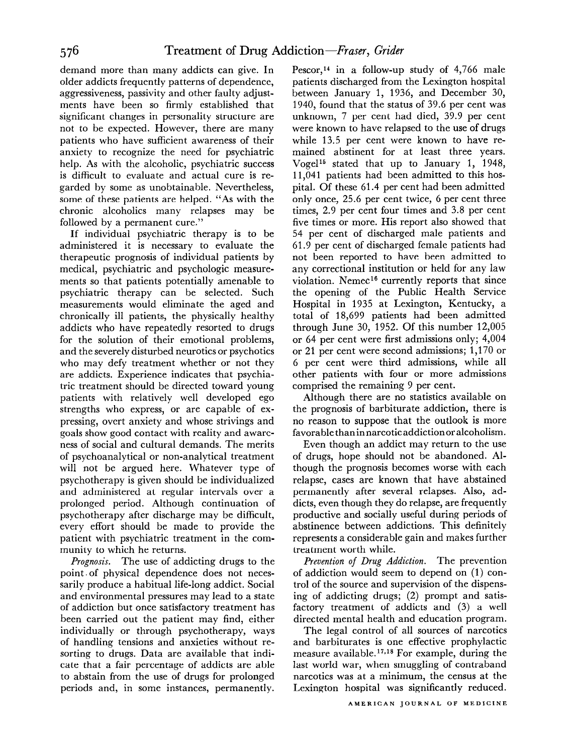demand more than many addicts can give. In older addicts frequently patterns of dependence, aggressiveness, passivity and other faulty adjustments have been so firmly established that significant changes in personality structure are not to be expected. However, there are many patients who have sufficient awareness of their anxiety to recognize the need for psychiatric help. As with the alcoholic, psychiatric success is difficult to evaluate and actual cure is regarded by some as unobtainable. Nevertheless, some of these patients are helped. "AS with the chronic alcoholics many relapses may be followed by a permanent cure."

If individual psychiatric therapy is to be administered it is necessary to evaluate the therapeutic prognosis of individual patients by medical, psychiatric and psychologic measurements so that patients potentially amenable to psychiatric therapy can be selected. Such measurements would eliminate the aged and chronically ill patients, the physically healthy addicts who have repeatedly resorted to drugs for the solution of their emotional problems, and the severely disturbed neurotics or psychotics who may defy treatment whether or not they are addicts. Experience indicates that psychiatric treatment should be directed toward young patients with relatively well developed ego strengths who express, or are capable of expressing, overt anxiety and whose strivings and goals show good contact with reality and awareness of social and cultural demands. The merits of psychoanalytical or non-analytical treatment will not be argued here. Whatever type of psychotherapy is given should be individualized and administered at regular intervals over a prolonged period. Although continuation of psychotherapy after discharge may be difficult, every effort should be made to provide the patient with psychiatric treatment in the community to which he returns.

*Prognosis.* The use of addicting drugs to the point. of physical dependence does not necessarily produce a habitual life-long addict. Social and environmental pressures may lead to a state of addiction but once satisfactory treatment has been carried out the patient may find, either individually or through psychotherapy, ways of handling tensions and anxieties without resorting to drugs. Data are available that indicate that a fair percentage of addicts are able to abstain from the use of drugs for prolonged periods and, in some instances, permanently.

Pescor,<sup>14</sup> in a follow-up study of  $4,766$  male patients discharged from the Lexington hospital between January 1, 1936, and December 30, 1940, found that the status of 39.6 per cent was unknown, 7 per cent had died, 39.9 per cent were known to have relapsed to the use of drugs while 13.5 per cent were known to have remained abstinent for at least three years. Vogel<sup>15</sup> stated that up to January 1, 1948, 11,041 patients had been admitted to this hospital. Of these 61.4 per cent had been admitted only once, 25.6 per cent twice, 6 per cent three times, 2.9 per cent four times and 3.8 per cent five times or more. His report also showed that 54 per cent of discharged male patients and 61.9 per cent of discharged female patients had not been reported to have been admitted to any correctional institution or held for any law violation. Nemec<sup>16</sup> currently reports that since the opening of the Public Health Service Hospital in 1935 at Lexington, Kentucky, a total of 18,699 patients had been admitted through June 30, 1952. Of this number 12,005 or 64 per cent were first admissions only; 4,004 or 21 per cent were second admissions; 1,170 or 6 per cent were third admissions, while all other patients with four or more admissions comprised the remaining 9 per cent.

Although there are no statistics available on the prognosis of barbiturate addiction, there is no reason to suppose that the outlook is more favorablethaninnarcoticaddictionoralcoholism.

Even though an addict may return to the use of drugs, hope should not be abandoned. Although the prognosis becomes worse with each relapse, cases are known that have abstained permanently after several relapses. Also, addicts, even though they do relapse, are frequently productive and socially useful during periods of abstinence between addictions. This definitely represents a considerable gain and makes further treatment worth while.

*Prevention of Drug Addiction.* The prevention of addiction would seem to depend on (1) control of the source and supervision of the dispensing of addicting drugs; (2) prompt and satisfactory treatment of addicts and (3) a well directed mental health and education program.

The legal control of all sources of narcotics and barbiturates is one effective prophylactic measure available.<sup>17,18</sup> For example, during the last world war, when smuggling of contraband narcotics was at a minimum, the census at the Lexington hospital was significantly reduced.